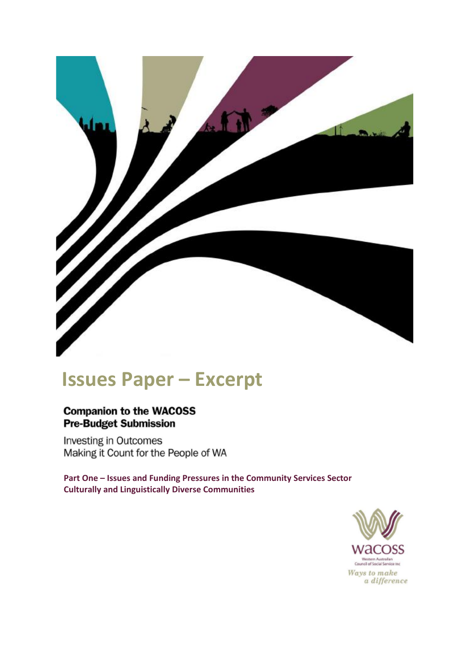

# **Issues Paper – Excerpt**

### **Companion to the WACOSS Pre-Budget Submission**

**Investing in Outcomes** Making it Count for the People of WA

**Part One – Issues and Funding Pressures in the Community Services Sector Culturally and Linguistically Diverse Communities**

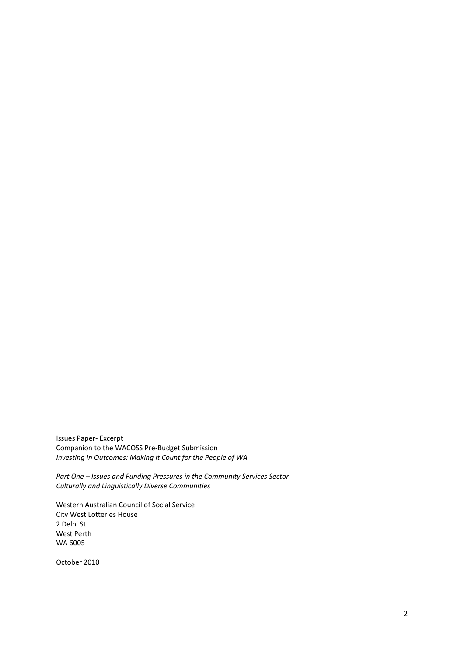Issues Paper- Excerpt Companion to the WACOSS Pre-Budget Submission *Investing in Outcomes: Making it Count for the People of WA*

*Part One – Issues and Funding Pressures in the Community Services Sector Culturally and Linguistically Diverse Communities* 

Western Australian Council of Social Service City West Lotteries House 2 Delhi St West Perth WA 6005

October 2010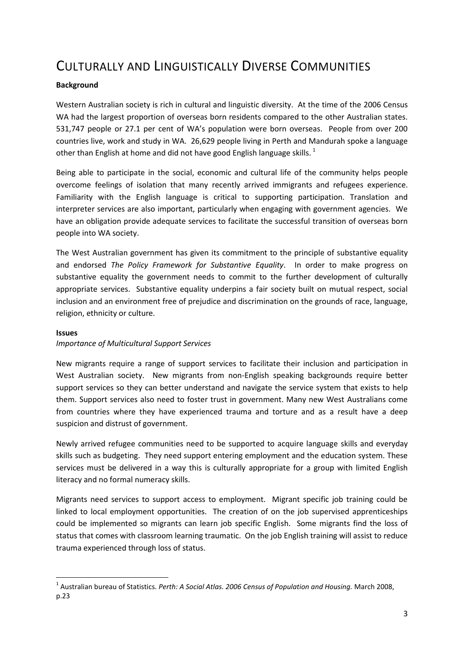## CULTURALLY AND LINGUISTICALLY DIVERSE COMMUNITIES

#### **Background**

Western Australian society is rich in cultural and linguistic diversity. At the time of the 2006 Census WA had the largest proportion of overseas born residents compared to the other Australian states. 531,747 people or 27.1 per cent of WA's population were born overseas. People from over 200 countries live, work and study in WA. 26,629 people living in Perth and Mandurah spoke a language other than English at home and did not have good English language skills.  $1$ 

Being able to participate in the social, economic and cultural life of the community helps people overcome feelings of isolation that many recently arrived immigrants and refugees experience. Familiarity with the English language is critical to supporting participation. Translation and interpreter services are also important, particularly when engaging with government agencies. We have an obligation provide adequate services to facilitate the successful transition of overseas born people into WA society.

The West Australian government has given its commitment to the principle of substantive equality and endorsed *The Policy Framework for Substantive Equality*. In order to make progress on substantive equality the government needs to commit to the further development of culturally appropriate services. Substantive equality underpins a fair society built on mutual respect, social inclusion and an environment free of prejudice and discrimination on the grounds of race, language, religion, ethnicity or culture.

#### **Issues**

**.** 

#### *Importance of Multicultural Support Services*

New migrants require a range of support services to facilitate their inclusion and participation in West Australian society. New migrants from non-English speaking backgrounds require better support services so they can better understand and navigate the service system that exists to help them. Support services also need to foster trust in government. Many new West Australians come from countries where they have experienced trauma and torture and as a result have a deep suspicion and distrust of government.

Newly arrived refugee communities need to be supported to acquire language skills and everyday skills such as budgeting. They need support entering employment and the education system. These services must be delivered in a way this is culturally appropriate for a group with limited English literacy and no formal numeracy skills.

Migrants need services to support access to employment. Migrant specific job training could be linked to local employment opportunities. The creation of on the job supervised apprenticeships could be implemented so migrants can learn job specific English. Some migrants find the loss of status that comes with classroom learning traumatic. On the job English training will assist to reduce trauma experienced through loss of status.

<sup>&</sup>lt;sup>1</sup> Australian bureau of Statistics. *Perth: A Social Atlas. 2006 Census of Population and Housing. March 2008,* p.23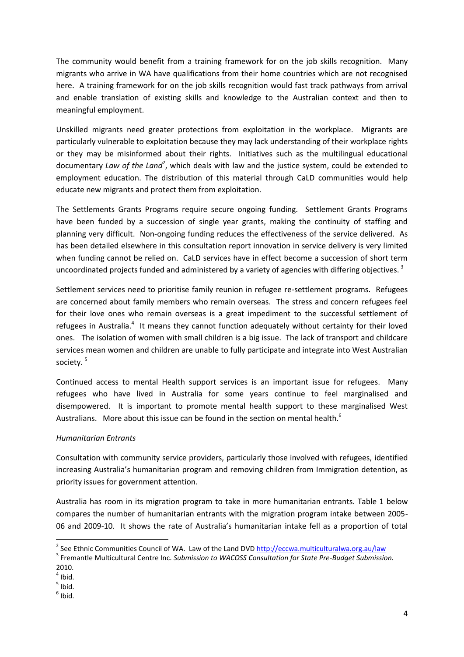The community would benefit from a training framework for on the job skills recognition. Many migrants who arrive in WA have qualifications from their home countries which are not recognised here. A training framework for on the job skills recognition would fast track pathways from arrival and enable translation of existing skills and knowledge to the Australian context and then to meaningful employment.

Unskilled migrants need greater protections from exploitation in the workplace. Migrants are particularly vulnerable to exploitation because they may lack understanding of their workplace rights or they may be misinformed about their rights. Initiatives such as the multilingual educational documentary *Law of the Land<sup>2</sup>* , which deals with law and the justice system, could be extended to employment education. The distribution of this material through CaLD communities would help educate new migrants and protect them from exploitation.

The Settlements Grants Programs require secure ongoing funding. Settlement Grants Programs have been funded by a succession of single year grants, making the continuity of staffing and planning very difficult. Non-ongoing funding reduces the effectiveness of the service delivered. As has been detailed elsewhere in this consultation report innovation in service delivery is very limited when funding cannot be relied on. CaLD services have in effect become a succession of short term uncoordinated projects funded and administered by a variety of agencies with differing objectives.<sup>3</sup>

Settlement services need to prioritise family reunion in refugee re-settlement programs. Refugees are concerned about family members who remain overseas. The stress and concern refugees feel for their love ones who remain overseas is a great impediment to the successful settlement of refugees in Australia.<sup>4</sup> It means they cannot function adequately without certainty for their loved ones. The isolation of women with small children is a big issue. The lack of transport and childcare services mean women and children are unable to fully participate and integrate into West Australian society.<sup>5</sup>

Continued access to mental Health support services is an important issue for refugees. Many refugees who have lived in Australia for some years continue to feel marginalised and disempowered. It is important to promote mental health support to these marginalised West Australians. More about this issue can be found in the section on mental health. $^6$ 

#### *Humanitarian Entrants*

Consultation with community service providers, particularly those involved with refugees, identified increasing Australia's humanitarian program and removing children from Immigration detention, as priority issues for government attention.

Australia has room in its migration program to take in more humanitarian entrants. Table 1 below compares the number of humanitarian entrants with the migration program intake between 2005- 06 and 2009-10. It shows the rate of Australia's humanitarian intake fell as a proportion of total

**.** 

<sup>&</sup>lt;sup>2</sup> See Ethnic Communities Council of WA. Law of the Land DVD<http://eccwa.multiculturalwa.org.au/law>

<sup>3</sup> Fremantle Multicultural Centre Inc. *Submission to WACOSS Consultation for State Pre-Budget Submission.* 2010.

 $<sup>4</sup>$  Ibid.</sup>

 $<sup>5</sup>$  Ibid.</sup>

 $<sup>6</sup>$  Ibid.</sup>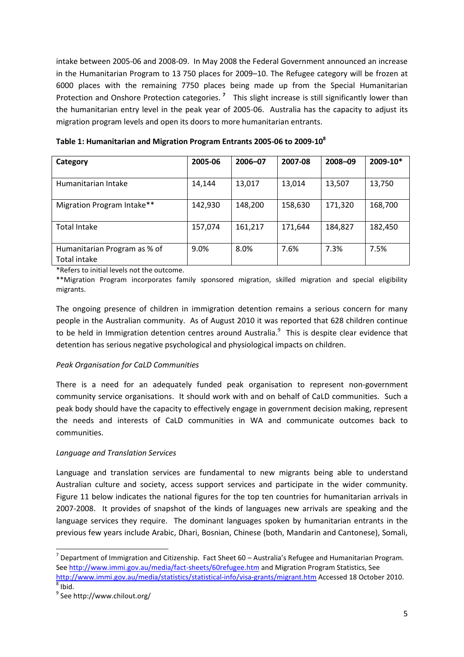intake between 2005-06 and 2008-09. In May 2008 the Federal Government announced an increase in the Humanitarian Program to 13 750 places for 2009–10. The Refugee category will be frozen at 6000 places with the remaining 7750 places being made up from the Special Humanitarian Protection and Onshore Protection categories.<sup>7</sup> This slight increase is still significantly lower than the humanitarian entry level in the peak year of 2005-06. Australia has the capacity to adjust its migration program levels and open its doors to more humanitarian entrants.

| Category                     | 2005-06 | 2006-07 | 2007-08 | 2008-09 | 2009-10* |  |
|------------------------------|---------|---------|---------|---------|----------|--|
|                              |         |         |         |         |          |  |
| Humanitarian Intake          | 14,144  | 13,017  | 13,014  | 13,507  | 13,750   |  |
|                              |         |         |         |         |          |  |
| Migration Program Intake**   | 142,930 | 148,200 | 158,630 | 171,320 | 168,700  |  |
|                              |         |         |         |         |          |  |
| Total Intake                 | 157,074 | 161,217 | 171,644 | 184,827 | 182,450  |  |
|                              |         |         |         |         |          |  |
| Humanitarian Program as % of | 9.0%    | 8.0%    | 7.6%    | 7.3%    | 7.5%     |  |
| Total intake                 |         |         |         |         |          |  |

**Table 1: Humanitarian and Migration Program Entrants 2005-06 to 2009-10<sup>8</sup>**

\*Refers to initial levels not the outcome.

\*\*Migration Program incorporates family sponsored migration, skilled migration and special eligibility migrants.

The ongoing presence of children in immigration detention remains a serious concern for many people in the Australian community. As of August 2010 it was reported that 628 children continue to be held in Immigration detention centres around Australia.<sup>9</sup> This is despite clear evidence that detention has serious negative psychological and physiological impacts on children.

#### *Peak Organisation for CaLD Communities*

There is a need for an adequately funded peak organisation to represent non-government community service organisations. It should work with and on behalf of CaLD communities.Such a peak body should have the capacity to effectively engage in government decision making, represent the needs and interests of CaLD communities in WA and communicate outcomes back to communities.

#### *Language and Translation Services*

Language and translation services are fundamental to new migrants being able to understand Australian culture and society, access support services and participate in the wider community. Figure 11 below indicates the national figures for the top ten countries for humanitarian arrivals in 2007-2008. It provides of snapshot of the kinds of languages new arrivals are speaking and the language services they require. The dominant languages spoken by humanitarian entrants in the previous few years include Arabic, Dhari, Bosnian, Chinese (both, Mandarin and Cantonese), Somali,

 $\overline{\phantom{a}}$ 

 $^7$  Department of Immigration and Citizenship. Fact Sheet 60 – Australia's Refugee and Humanitarian Program. See<http://www.immi.gov.au/media/fact-sheets/60refugee.htm> and Migration Program Statistics, See <http://www.immi.gov.au/media/statistics/statistical-info/visa-grants/migrant.htm> Accessed 18 October 2010.  $<sup>8</sup>$  Ibid.</sup>

<sup>9</sup> See http://www.chilout.org/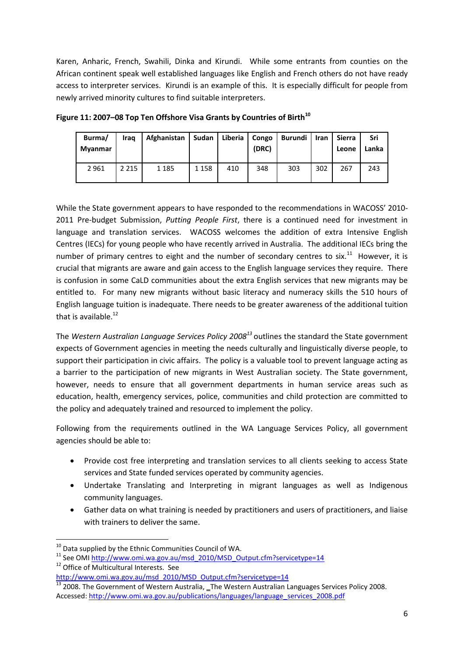Karen, Anharic, French, Swahili, Dinka and Kirundi. While some entrants from counties on the African continent speak well established languages like English and French others do not have ready access to interpreter services. Kirundi is an example of this. It is especially difficult for people from newly arrived minority cultures to find suitable interpreters.

| Burma/<br>Myanmar | Irag    | Afghanistan | Sudan   | Liberia   Congo | (DRC) | Burundi   Iran |     | Sierra<br>Leone | Sri<br>Lanka |
|-------------------|---------|-------------|---------|-----------------|-------|----------------|-----|-----------------|--------------|
| 2961              | 2 2 1 5 | 1 1 8 5     | 1 1 5 8 | 410             | 348   | 303            | 302 | 267             | 243          |

**Figure 11: 2007–08 Top Ten Offshore Visa Grants by Countries of Birth<sup>10</sup>**

While the State government appears to have responded to the recommendations in WACOSS' 2010- 2011 Pre-budget Submission, *Putting People First*, there is a continued need for investment in language and translation services. WACOSS welcomes the addition of extra Intensive English Centres (IECs) for young people who have recently arrived in Australia. The additional IECs bring the number of primary centres to eight and the number of secondary centres to six.<sup>11</sup> However, it is crucial that migrants are aware and gain access to the English language services they require. There is confusion in some CaLD communities about the extra English services that new migrants may be entitled to. For many new migrants without basic literacy and numeracy skills the 510 hours of English language tuition is inadequate. There needs to be greater awareness of the additional tuition that is available. $^{12}$ 

The *Western Australian Language Services Policy 2008<sup>13</sup>* outlines the standard the State government expects of Government agencies in meeting the needs culturally and linguistically diverse people, to support their participation in civic affairs. The policy is a valuable tool to prevent language acting as a barrier to the participation of new migrants in West Australian society. The State government, however, needs to ensure that all government departments in human service areas such as education, health, emergency services, police, communities and child protection are committed to the policy and adequately trained and resourced to implement the policy.

Following from the requirements outlined in the WA Language Services Policy, all government agencies should be able to:

- Provide cost free interpreting and translation services to all clients seeking to access State services and State funded services operated by community agencies.
- Undertake Translating and Interpreting in migrant languages as well as Indigenous community languages.
- Gather data on what training is needed by practitioners and users of practitioners, and liaise with trainers to deliver the same.

**<sup>.</sup>**  $^{10}$  Data supplied by the Ethnic Communities Council of WA.

 $11$  See OM[I http://www.omi.wa.gov.au/msd\\_2010/MSD\\_Output.cfm?servicetype=14](http://www.omi.wa.gov.au/msd_2010/MSD_Output.cfm?servicetype=14)

<sup>&</sup>lt;sup>12</sup> Office of Multicultural Interests. See

http://www.omi.wa.gov.au/msd\_2010/MSD\_Output.cfm?servicetype=14

 $\frac{13}{13}$  2008. The Government of Western Australia, \_The Western Australian Languages Services Policy 2008. Accessed: [http://www.omi.wa.gov.au/publications/languages/language\\_services\\_2008.pdf](http://www.omi.wa.gov.au/publications/languages/language_services_2008.pdf)